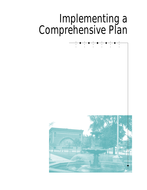# Implementing a Comprehensive Plan

<del>▝█▝▕▝▕█▝▕▝▐▊▔▏▝█▔▕▝▐</del><br>▕▕▕▕▏▕▕▏▏▕▏▏▏▕▏▏▏▕▏▏▏▏▏

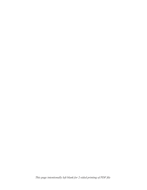*This page intentionally left blank for 2-sided printing of PDF file*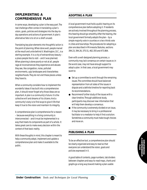# **IMPLEMENTING A COMPREHENSIVE PLAN**

In some ways, developing a plan is the easy part. The real challenge often comes in translating a plan's vision, goals, policies and strategies into the day-today operations and actions of government. A plan's alternative fate is to sit on a shelf unused.

Translating key plan elements into thoughtful action is the point of planning. When done well, people marvel at the result and unite behind it. Washington, D.C., is a sterling example. It is a city of extraordinary beauty – a place people like to visit – and it was planned. When planning is done poorly or not at all, people rage at inconveniences they experience and abuses they see, like congestion, noise, polluted environments, ugly landscapes and characterless neighborhoods. They do not visit these places unless they have to.

When a community considers how to implement the wonderful ideas it has built into a comprehensive plan, it should never forget why those ideas are so important. A plan is a community's future. It is the collective will and dreams of its citizens. And a community's duty is to find ways to give it life that keep it true to the vision and maintain its integrity.

A comprehensive plan is comprehensive for a reason – because everything in a living community is interconnected – and it must be implemented in a way that treats its components as part of a whole. It takes great care to make every decision within the context of that basic reality.

With these thoughts in mind, this chapter is meant to help a community adopt, implement and update a comprehensive plan and make it available to the public .

# **ADOPTING A PLAN**

A local government must hold a public hearing on its comprehensive plan before adopting it. If residents are actively involved throughout the planning process, this hearing should go smoothly. After the hearing, the local government formally adopts the plan – by a simple majority vote in counties or a two-thirds vote in cities and townships. The procedures for adopting a plan are described in Minnesota Statutes, sections 394.23, 394.26, 375.51, 462.355 and 473.864.

Even with a well-designed planning process, a community may lack consensus on certain issues or, in the worst case, may not have enough support to adopt a plan. In that case, a local government may want to:

- Set up a committee to work through the remaining issues. The committee should have balanced representation from all sides of the issues in dispute and a definite timeline for reporting back its recommendations.
- $\bullet$  Recommend further study of the issues with a clear timeline. Through additional study, participants may discover new information that will help them develop a consensus.
- $\bullet$  If the community is extremely divided on an issue, it may be necessary to bring in a professional facilitator or a mediator to help it find a solution. Sometimes a community must make tough choices and move on.

# **PUBLISHING A PLAN**

To be an effective tool, a comprehensive plan should be clearly organized and easy to read so that everyone can understand the vision, goals and policies expressed in it.

A good table of contents, page numbers, tab dividers between chapters and easy-to-read maps, charts and graphs go a long way toward making a plan usable

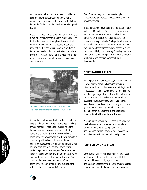and understandable. It may even be worthwhile to seek an editor's assistance in refining a plan's organization and language. The best time to do this is before the final draft of the plan is released for public review.

If cost is an important consideration (and it usually is), a community may want to choose a layout and design for the document that is simple and inexpensive to duplicate. While color maps are sometimes more informative, they can be expensive to reproduce, a factor that may limit the number that can be included in the plan. Packaging the plan in a three-ring binder makes it easy to incorporate revisions, amendments and new maps.



Architect Louis Sullivan's 1908 bank provides a historical backdrop for Owatonna's town center.

A plan should, above nearly all else, be accessible to people in the community. New technology, including three-dimensional imaging and publishing on the Internet, can help in presenting and distributing a comprehensive plan. Since not everyone in the community may be comfortable with these formats, a community will likely want to use traditional publishing approaches as well. Summaries of the plan can be distributed to residents as brochures or posters; a poster, for example, can feature a future land use map on one side and the community's vision, goals and summarized strategies on the other. Some communities have raised awareness of their community vision by printing it on a business card with key phone numbers and Web sites.

One of the best ways to communicate a plan to residents is to get the local newspaper to print it, or key elements of it.

In addition, community groups and organizations such as the local Chamber of Commerce, extension office, Farm Bureau, Farmers Union, and soil and water conservation office can help distribute the plan to their membership or clients. While getting the plan as much public exposure as possible is desirable, some communities, for cost reasons, have chosen to make copies available by purchase only. Providing free plan summaries and posting a plan on the Internet may be a solution where cost is a barrier to broad dissemination.

# **CELEBRATING A PLAN**

After a plan is officially approved, it is a great idea to throw a party, a community ice cream social, a citywide block party or barbecue – something to mark the successful end of a community's planning efforts and the beginning of its work toward the future it has chosen. A community celebration not only brings people physically together to launch their newly shared vision, it is also a wonderful way for the local government and planning commission or other planning committee to thank all the people and organizations that helped develop the plan.

A community may even want to consider making the celebration an annual event as a way to update citizens on the progress being made toward implementing its plan. The event could become an annual Futures Fair or Community Design Expo.

# **IMPLEMENTING A PLAN**

Once its plan is approved, a community should begin implementing it. These efforts are most likely to be successful if a community lays out clear implementation steps in the plan and employs a broad range of strategies, tools and techniques. As noted in

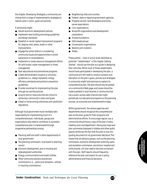the chapter, Developing Strategies, a community can choose from a range of implementation strategies to realize a plan's vision, goals and policies.

A community might:

- Revisit economic development policies.
- Implement new building and energy guidelines and design standards.
- Establish or revisit capital improvement programs for staging road, sewer, water or other improvements.
- Engage the school district in considering community issues and opportunities in school expansions or consolidations.
- Implement or revise resource management efforts for solid waste, water management or forest management.
- Start educational and promotional programs.
- Create demonstration projects or voluntary guidelines (i.e., design standards, energy efficiency standards and pollution prevention guidelines).
- Provide incentives for implementing the plan through tax and fee policies.
- Acquire land or resources that are critical to achieving a community's vision and goals.
- Adopt or revise zoning ordinances and subdivision regulations.

Although local government must inevitably take responsibility for implementing much of a comprehensive plan, individuals, groups and organizations also need to contribute. A successful comprehensive plan is implemented through cooperative partnerships among:

- Planning staff and staff in other departments of local government
- The planning commission, local board or planning council
- Economic development, port or housing and redevelopment authorities
- Energy, communications and water utilities
- Other community advisory boards and commissions (i.e., parks and recreation, utilities or recycling commissions)
- Neighboring cities and counties
- Federal, state or regional government agencies
- Property owners, land developers and homeowner associations
- Civic organizations
- Nonprofit organizations and development corporations
- Private foundations
- Faith-based groups
- Conservation organizations
- **Bankers and investors**
- **Media**

These parties – most of which were identified as potential "stakeholders" in the chapter Getting Started – should use the plan as a guide in designing their activities. While most of these stakeholders should have participated in developing the plan, a community will still need to conduct outreach and education on the plan's goals, policies and strategies. A community might hold seminars to explain its comprehensive plan. The plan should also be posted on a community's Web page, and copies should be made available in local libraries. A community that has a public access cable channel also might periodically run educational programs on the planning process, its outcomes and implementation steps.

Within government, the various agencies and departments should recognize the comprehensive plan as the basic guide for their programs and administrative efforts. To encourage regular use, a community should have a copy of the plan in every meeting room and department. Having key maps and plan summaries displayed in lobbies and other public spaces reinforces the fact that the plan is now the guiding document for all government decisions. This means that all advisory groups, such as the planning commission, economic development authority, parks and recreation commission, and school, hospital and utility boards, will also need to become conversant with the plan. Staff reports should frequently reference the plan and expect its use in policy, administrative and financial decisions.

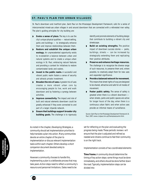## **ST. PAUL'S PLAN FOR URBAN VILLAGES**

St. Paul's downtown and riverfront plan, Saint Paul on the Mississippi Development Framework, calls for a series of interconnected mixed-use urban villages in and around downtown that are connected with a reforested river valley. The plan's guiding principles for city building are:

- ◗ **Evoke a sense of place.** The key is to use the city's unique physical qualities — natural setting, parks and buildings — to strategically enhance them and improve relationships between them.
- ◗ **Restore and establish the unique urban ecology.** An unprecedented opportunity exists to re-establish a balance between urban and natural systems and to create a unique urban ecology in St. Paul, embracing natural features and providing a context for initiatives to restore contaminated lands and waters.
- ◗ **Invest in the public realm.** A successful and vibrant public realm fosters a sense of security and attracts private investment.
- ◗ **Broaden the mix of uses.** A greater mix of uses creates a more vibrant urban core by encouraging people to live, work and walk downtown and by fostering a synergy between activities.
- ◗ **Improve connectivity.** The impact and role of built and natural elements downtown could be greatly enhanced if they were connected to and part of a larger citywide network.
- ◗ **Ensure that buildings support broader city building goals.** The challenge is to rigorously

identify and promote elements of building design that contribute to building a vibrant city and streetscape.

- ◗ **Build on existing strengths.** The positive impact of downtown success stories — parks, buildings, streets — can be increased by strategically extending them and replicating their positive attributes.
- ◗ **Preserve and enhance heritage resources.** The challenge is to recognize the diverse range of such resources, to preserve them and, where possible, to creatively adapt them for new uses and expanded significance.
- ◗ **Provide a balanced network for movement.** This means that street rights-of-way are designed to be shared, attractive and safe for all modes of movement.
- Foster public safety. The sense of safety is greatest when there is a vibrant downtown when streets, parks and public spaces are active for longer hours of the day, when there is a continuous urban fabric and when active uses provide an informal means of surveillance.

Source: Saint Paul on the Mississippi Development Framework, St. Paul, 1997; www.ci.stpaul.mn.us//frame/execsumm.html.

As noted in the chapter, Developing Strategies, a community should set implementation priorities to help translate a plan into action. Many communities devote an entire chapter of the plan to implementation or discuss relevant implementation tasks within each chapter. Others develop a short companion document devoted solely to implementation.

However a community chooses to handle this, implementing a plan is a deliberate process that may take years. Action steps need to reflect a community's resource and personnel limitations. Dates need to be

set for reflecting on the plan and evaluating the progress being made. These periodic reviews will ensure that the plan is adjusted and refined as needed and citizens continue to feel their community is on the right track.

Implementation consists of two coordinated elements:

**Time frame.** A community should determine the timing of key action steps: some things must be done immediately, and others should be done farther down the road. Typically, implementation steps can be divided into:

**IMPLEMENTING A COMPREHENSIVE PLAN**

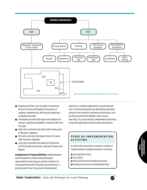

- $\bullet$  Ongoing activities, such as public involvement, that will continue throughout the process of creating, implementing, refining and updating a comprehensive plan
- Immediate activities that begin with adoption of the plan, typically completed or realized within the first year
- Short-term activities that start within three years of the plan's adoption
- Mid-term activities that begin three to 10 years after the plan's adoption
- Long-term activities that extend to the second half of the planning horizon, typically 10 years and beyond

**Assignment of responsibilities.** Implementation recommendations should indicate the party responsible for executing an activity, whether it is local government staff, the planning commission, a planning task force, the economic development

authority, or another organization or governmental unit. A community should also identify key secondary parties to be involved in implementing the plan, such as other governments (federal, state, county, township, city, school board), independent authorities, nonprofit organizations and business associations.

# **TYPES OF IMPLEMENTATION A C T I V I T IE S**

A community may want to consider a number of implementation strategies and tools, including:

- Land regulation tools
- Fiscal tools
- ◗ Public facilities and infrastructure tools
- ◗ Housing and economic development tools

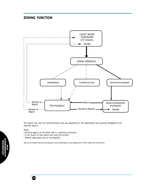# **ZONING FUNCTION**



This typical flow chart for zoning functions may vary depending on the responsibility and authority delegated to the planning agency.

Notes:

- <sup>1</sup> Planning agency can be either staff or a planning commission
- <sup>2</sup> A city council or town-board may serve this function
- 3 Referral steps apply only to municipalities

Sources: Minnesota Planning, Metropolitan Council, Washington County Department of Public Health and Environment.

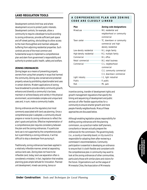# **LAND REGULATION TOOLS**

Development controls limit how and where development occurs to protect public interests. Development controls, for example, allow a community to require a developer to build according to zoning ordinances, provide sufficient park space and off-street parking, site buildings to allow access to the main thoroughfare and maintain adequate buffering from adjoining residential properties. Such controls are one of the most common and fundamental ways to implement a comprehensive plan and stem from government's responsibility and authority to protect public health, safety and welfare.

## **ZONING ORDINANCES**

Zoning began as a means of preventing property owners from using their property in ways that harmed the community. Zoning also conserved and protected property values by prohibiting objectionable land uses in certain districts. Modern applications of zoning have broadened to provide orderly community growth, enhance and diversify a community's tax base, maintain or achieve beauty and variety in the physical environment, accommodate complex and unique land uses and, in sum, make a community livable.

Zoning ordinances are the regulatory tool most commonly associated with land use planning. Once a comprehensive plan is adopted, a community should prepare or revise its zoning ordinances to reflect the plan's goals and policies. Effective implementation of a comprehensive plan requires consistency between the plan and the zoning ordinances. If a particular land use is not supported by the comprehensive plan but is permitted by a zoning ordinance, it will be difficult to stop a developer from pursuing it.

Traditionally, zoning ordinances have been applied in a relatively inflexible manner, aimed at separating various land uses. Zoning does not have to be inflexible (and, today, land use separation often is considered a mistake). In fact, legislation that enables planning gives ample latitude for innovation. Planned unit development, mixed-use zoning, bonus or

# **A COMPREHENSIVE PLAN AND ZONING CODE ARE CLOSELY LINKED**

| Plan                                                                 | Zoning code designations  |
|----------------------------------------------------------------------|---------------------------|
| Mixed use                                                            | MX, residential and       |
|                                                                      | neighborhood or community |
|                                                                      | commercial                |
| Town center ——                                                       | TC, downtown or community |
|                                                                      | commercial and high-      |
|                                                                      | density residential       |
| Low-density residential $\overline{\hspace{2cm}}$ R-1, single family |                           |
| High-density residential - R-2, multiple family                      |                           |
| Commercial - B-1, office                                             |                           |
| Retail commercial $-$                                                | - B-2, retail business    |
| $\mathsf{Commercial} \!=\!$                                          | C-1, neighborhood         |
|                                                                      | commercial                |
|                                                                      | C-2, community commercial |
|                                                                      | C-3, downtown commercial  |
|                                                                      |                           |
| <b>Example 1</b> P, public<br>Public $-$                             |                           |
| Park                                                                 | - PK, park                |

incentive zoning, transfer of development rights and growth management regulations that specify the timing and sequencing of development and public services all offer flexible opportunities for a community to ensure smarter growth and more people-friendly neighborhoods. Many of these approaches are discussed below.

Although enabling legislation places responsibility for drafting zoning ordinances with the planning commission, as a practical matter staff planners, consultants or lawyers actually prepare the ordinances for the commission. The governing body (i.e., a county or township board, or city council) is responsible for adopting them after reviewing a commission's recommendations. Community participation is essential in developing an ordinance to ensure that it is both flexible and consistent with the comprehensive plan. A community may want to look at the zoning ordinances of other communities, particularly those with similar plans and visions for the future. Organizations such as the League of Minnesota Cities, the Association of Minnesota

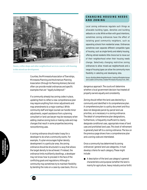

Stores, coffee shops and other neighborhood services coexist with housing in this mixed use development.

Counties, the Minnesota Association of Townships, Minnesota Planning and the American Planning Association (through its Planning Advisory Service) often can provide model ordinances and specific examples that are "legally bulletproof."

If a community already has zoning codes in place, updating them to reflect a new comprehensive plan may require anything from minor adjustments and map amendments to a major overhaul. While community staff and legal counsel can handle minor adjustments, expert assistance from a planning consultant or land use lawyer may be necessary when adding creative zoning tools or making code and map changes that result in some properties becoming nonconforming uses.

A zoning ordinance should make it easy for a developer to do what a community wants. For example, if a plan encourages higher density development in a particular area, the zoning ordinance should be structured in a way that allows the target density to be achieved. If instead, the ordinance limits multifamily dwellings, a developer may not know how to proceed in the face of the conflicting goals and regulations. Although a community may sometimes try to maintain flexibility by bending the rules on a case-by-case basis, this is a

# **CHANGING HOUSING NEEDS AND ZONING**

Local zoning ordinances regulate such things as allowable building types, densities and building setbacks on a site. While written with good intentions, sometimes zoning ordinances have the effect of isolating good community neighbors, such as separating schools from residential areas. Ordinances sometimes even separate different compatible types of housing, such as single-family and elderly housing, offering retired residents little choice but to move out of their neighborhood when their housing needs change. Selectively changing restrictive zoning ordinances to allow mixed-use neighborhoods and a range of housing types can allow the community more flexibility in selecting and developing sites.

Source: Building Better Neighborhoods: Creating Affordable Homes and Livable Communities, Greater Minnesota Housing Fund, 2001.

dangerous approach. The courts will determine whether a local government decision has treated all property owners equally and consistently.

Zoning should reflect the land uses desired by a community and identified in its comprehensive plan. A comprehensive plan is a policy document and thus does not designate parcel-by-parcel land use priorities, as is necessary in a zoning ordinance. The detail of comprehensive plan designations, furthermore, is frequently insufficient to clearly designate conditional uses, appropriate mixes of land uses and prohibited land uses. This level of refinement is generally best left to a zoning ordinance. The box on the previous page shows how a comprehensive plan and a zoning code are interrelated.

Once a community has determined its zoning ordinances' general land use categories, it must develop criteria for each category. These might include:

● A description of the land use category's general characteristics and purpose (whether the land is mainly for agriculture, heavy industry and so forth)



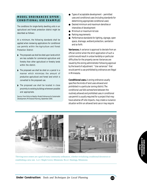# **MODEL ORDINANCES OFFER CONDITIONAL USE EXAMPLE**

The conditions for single-family dwelling units in an agricultural and forest protection district might be described as follows:

At a minimum, the following standards shall be applied when reviewing applications for conditional use permits within the Agriculture and Forest Protection District:

- ◗ The proposed use shall be sited upon lands which are less suitable for commercial agriculture and forestry than other agricultural or forestry lands within the district.
- ◗ The proposed use shall be sited on a parcel in a manner which minimizes the amount of productive agricultural and forest land which is converted to the proposed use.
- ◗ The proposed use shall be located in close proximity to existing buildings whenever possible and appropriate.

Source: From Policy to Reality: Model Ordinances for Sustainable Development, Minnesota Planning, September 2000.

- Types of acceptable development permitted uses and conditional uses (including standards for determining appropriate conditional uses)
- Desired minimum and maximum densities or intensities of development
- Minimum or maximum lot size
- Parking requirements
- Performance standards for lighting, signage, open space, drainage, wetland protection, sanitation and so forth.

**Variances.** A variance is approval to deviate from an official control when the strict application of such a control would result in undue hardship or particular difficulties for the property owner. Variances are issued by the zoning administrator following approval by the board of adjustment. "Use variances" that would permit a use prohibited by ordinance are illegal in Minnesota.

**Conditional uses.** A zoning ordinance usually specifies the kinds of land uses allowed and prohibited in a particular zoning district. The conditional use falls somewhere between the routinely allowed and prohibited uses. A conditional use permit is usually required for a project that may have adverse off-site impacts, may create a nuisance situation within an allowed land use or may require





Thriving town centers are a goal of many community ordinances, whether revitalizing a traditional downtown or

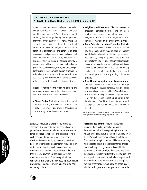# **ORDINANCES FOCUS ON "TRADITIONAL NEIGHBORHOOD DESIGN"**

Older communities typically reflected particular design standards that are now called "traditional neighborhood design." Such design included orienting household gathering spaces (porches, entryways) toward the front of the home, streets and sidewalks that accommodated pedestrians first and automobiles second, neighborhood-oriented commercial development, and other design that emphasized a unique sense of place. Neighborhood design includes a mix of land uses, both apartment and second-story residential in traditional downtown areas of small cities, and neighborhood gathering places such as small diners, stores, and coffee shops. Emphasizing neighborhood design practices in subdivision and zoning ordinances enhances sustainability and preserves existing neighborhoods with elements of traditional neighborhood design.

Model ordinances for the following districts are presented, covering most of the urban, urban fringe and rural areas of a Minnesota community:

◗ **Town Center District:** Applies to the central business district, or traditional downtown, and provides for a mix of uses similar to or intensifying the existing pedestrian-oriented pattern.

- ◗ **Neighborhood Residential District:** Intended to encourage compatible infill development in residential neighborhoods around the town center. Neighborhoods with local or regional historic significance may also fit the profile of this district.
- ◗ **Town Extension or Urban Expansion District:** Applies to the potential expansion area around the city or village, which may be part of another jurisdiction but where utility extensions (public water and sewer systems) are planned. The ordinance provides for an efficient urban pattern that is strongly connected to the existing town or village, and shares certain design elements with it. The [Town Extension] can be used as an alternative to the typical planned unit development that many zoning ordinances contain.
- ◗ **Traditional Neighborhood Development District:** Intended to allow for development of large tracts of land in a manner consistent with traditional town and village character. Unlike the Town Extension, it is intended to apply to free-standing rural areas that may have been identified as suitable for development. The [Traditional Neighborhood Development] can also be used as an alternative to the PUD.

Source: From Policy to Reality: Model Ordinances for Sustainable Development, Minnesota Planning, September 2000.

selective application of design or performance standards. A zoning ordinance must clearly define general requirements for all conditional uses and, so far as practicable, standards and criteria specific to each designated conditional use. Courts have consistently overturned local government decisions based on rationale and standards not stipulated in an ordinance or plan. If a developer can meet the conditions and standards specified in an ordinance, then the local government should approve the conditional use permit. Common applications of conditional uses are multifamily housing, auto-related uses, outdoor storage, gravel mining and large-scale animal agriculture.

**Performance zoning.** Performance zoning regulates the effect or impact of proposed development rather than separating the uses into various zoning districts. The standards often relate to the site's development capability and limitations. Communities using this tool should be sure that they will be able to measure the development's impact cost effectively. Local governments need to tie performance zoning closely to their comprehensive plan because the plan must identify specific goals and related performance outcomes that developers must meet. Performance standards can cover things the community cares about, such as noise, odors, smoke, wildlife habitat, water and air quality, or other side

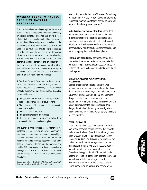# **OVERLAY SEEKS TO PROTECT SENSITIVE NATURAL RESOURCES**

Sustainable land use planning recognizes the value of natural, historic and economic assets in a community. Traditional downtown buildings help create a sense of place in the community's center. Natural resources, such as rivers, bluffs, and park land in and around the community, add substantial value to particular land uses such as housing or entertainment commercial uses. Natural resource-based industries need protection of resource base to ensure economic sustainability. Sustainability demands that natural, historic, and economic assets be conserved and protected for use by both current and future generation of residents and businesses. Land use planning must recognize community assets and the land uses that enhance, protect, or gain value from the resource.

A Sensitive Natural Environmental Areas overlay district for protecting and conserving significant natural resources in a community defines sustainable uses of a community's natural resources as depending on several factors:

- ◗ The sensitivity of the natural resource to various uses and to different kinds of development
- ◗ The uniqueness of the resource in the community and in the region
- ◗ The quality of the resource
- ◗ The economic value of the resource
- ◗ The natural resource priorities adopted by a community in its comprehensive plan

The overlay district provides a dual framework for protecting or conserving important community resources. It protects rare resources and areas highly sensitive to development. It also offers conservation methods for natural resource areas with habitat value that are important to community character and quality of life, for resource extraction using sustainable management practices, for recreation and tourism, and for development using conservation development standards.

Source: From Policy to Reality: Model Ordinances for Sustainable Development, Minnesota Planning, September 2000.

effects of a particular land use. They are a formal way for a community to say, "We do not want more traffic congestion than we have today" or "We do not want our schools to be any more crowded."

**Industrial performance standards.** Industrial performance standards are maximum or minimum thresholds for specific nuisances associated with industry, such as noise, vibration, air pollution and releases of toxic substances. Performance standards generally allow industry to choose the most economic and most appropriate method of compliance.

**Technology standards.** Technology standards, in contrast with performance standards, mandate that particular compliance methods be used. Counties, for instance, often use technology standards in regulating septic systems.

## **SPECIAL AREA DESIGNATIONS FOR MIXED USE**

Special area designations are another way to accommodate a combination of land uses that do not fit just one land use category or cannot be mapped in advance of development. Traditional neighborhood designs (see box) are an example of such a designation. A community interested in encouraging a mix of uses may want to establish special area designations to do so. Including such designations allows a community to identify the intensity and blend of uses it prefers.

## **OVERLAY ZONES**

Overlay zones allow special regulations within all or part of one or several zoning districts. They typically include an extra level of restrictions, although some allow exceptions to base zoning regulations. They should be used judiciously because they increase the code's complexity. While a single overlay can be manageable, multiple overlays can set the stage for regulatory conflicts and administrative problems. Typical overlay applications in Minnesota include historic preservation, special sign districts, shore land regulations, architectural design review for downtowns or highway corridors, airport hazard zones, special plan areas or critical natural areas.

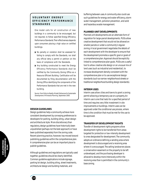# **VOLUNTARY ENERGY EFFICIENCY PERFORMANCE STANDARDS**

One model calls for all construction of new buildings in a community to be encouraged, but not required, to follow specified Energy Efficiency Performance Standards. Their effectiveness depends upon consumers placing a high value on certified buildings.

- ◗ No penalty or violation shall be assessed for failing to comply with the Standards, nor shall any official deny a permit or petition on the basis of compliance with the Standards.
- ◗ Any building constructed to meet the Energy Efficiency Performance Standards shall be certified by the Community Zoning Office as a Resource Efficient Building. Certification will be documented by filing documentation with the Zoning Office identifying the components of the Performance Standards that are met in the new building.

Source: From Policy to Reality: Model Ordinances for Sustainable Development, Minnesota Planning, September 2000.

#### **DESIGN GUIDELINES**

Design guidelines help a community achieve more consistent development by conveying preferences to developers for parking, building siting, urban design and architectural style. More discretionary than regulatory, design guidelines have historically been unpublished (perhaps not the best approach) or have been published separately from the zoning code. Recent planning practice, however, has moved toward publishing guidelines within the comprehensive plan. A comprehensive plan can be an important place to publish guidelines.

Although guidelines and regulations are typically used together, guidelines should be clearly identified. Common guideline applications include signage, parking lot design, building siting, street treatments, architectural design and building materials, and

buffering between uses. A community also could use such guidelines for energy and water efficiency, storm water management, pollution prevention, and solid and hazardous waste management.

#### **PLANNED UNIT DEVELOPMENTS**

Planned unit developments are an alternate form of regulation for large-parcel developments. PUDs allow creative development that would not be allowed on smaller parcels or under a community's regular zoning. A local government negotiates the details of each development with the developer to ensure that the development promotes a specific goal or goals of a comprehensive plan. Approval should be explicitly linked to comprehensive plan goals. PUDs are a useful tool to allow creative site design or an unusual mix of land uses (such as industrial and residential), to increase development density consistent with the comprehensive plan or to use exceptional design standards (such as narrow neighborhood streets or traditional neighborhood building design standards).

#### **INTERIM USES**

Interim uses allow cities and towns to grant a zoning permit allowing a temporary use on a property. An interim use is one that lasts for a specified period of time and requires very little investment in site improvements or buildings. Interim uses can be approved under the conditional use process, where time is the condition that must be met for the use to be approved.

#### **TRANSFER OF DEVELOPMENT RIGHTS**

Transfer of development rights programs allow development rights to be transferred from areas targeted for protection or low-intensity development to ones designated for development. The community adopts an ordinance defining a sending area where development is discouraged and a receiving area where it is encouraged. The selling landowner places a conservation easement on the property to be left undeveloped, and the purchasing developer is allowed to develop more intensively within the receiving area than is permitted in the community's base zoning.

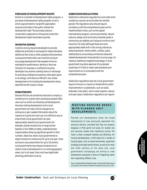#### **PURCHASE OF DEVELOPMENT RIGHTS**

Similar to a transfer of development rights program, a purchase of development rights program is one in which a government or nonprofit organization acquires and holds in the public interest the development right. The purchaser places a conservation easement on the parcels where the development rights have been acquired.

## **INCENTIVE ZONING**

Incentive zoning requires developers to provide additional amenities in exchange for higher densities, additional floor area or other property enhancements. Local governments often use incentive zoning to encourage development that exceeds minimum standards for performance, density or land use intensity. For example, a multifamily housing developer may receive a density bonus in exchange for providing underground parking, extra open space or an energy- and resource-efficient, low-waste development or for locating the development along specified transit routes or stops.

## **MORATORIUMS**

Elected officials are sometimes reluctant to employ a moratorium on a given land use because people often view such an action as inherently antidevelopment. However, halting development until a local government can make critical changes to an ordinance or gain needed information about the impacts of a particular land use is an effective way to ensure that a local government can plan appropriately. Several local governments, for example, placed moratoriums on large animal feedlots in the 1990s to better understand their impacts before allowing significant growth in their numbers. State law allows local governments to adopt moratorium ordinances for up to one year; cities and towns may extend them for up to 18 months. Local governments may impose moratoriums on certain kinds of development or on whole geographic areas, but in all cases, they must have legitimate planning justification to do so.

## **SUBDIVISION REGULATIONS**

Subdivision ordinances regulate how and under what conditions a parcel can be divided into smaller parcels. The regulations also should require consistency with the comprehensive plan and its implementation tools, such as the capital improvements program, and environmental, natural resource, design and community character goals. A community can address such issues as minimum and maximum lot sizes (although these are more appropriately dealt with in the zoning ordinance), street placement, street widths, utilities, parks, relationship to surrounding commercial areas and related development characteristics to encourage, for instance, traditional neighborhood design. A local government may deny approval of a proposed subdivision if it fails to meet code standards and requirements or is inconsistent with the comprehensive plan.

Subdivision regulations also let a local government require minimum or maximum thresholds for public improvements in a subdivision, such as roads, sidewalks, bike paths, storm water systems, sewers and open space. Subdivision regulations can require

# **MEETING HOUSING NEEDS WITH PLANNED UNIT DEVELOPMENTS**

Planned unit developments allow the mixed development of uses previously separated into exclusive districts, provided that they are properly designed. A PUD permit will allow for smaller lots and narrower streets than traditional zoning. The result is often increased livability and efficiency. For housing developments, a PUD allows for a variety of housing types, such as rental townhomes, apartment buildings and single-family homes, as well as for retail and other services on the same site. Local governments increasingly are willing to view development proposals in terms of integrating rather than separating different uses.

Source: Building Better Neighborhoods: Creating Affordable Homes and Livable Communities, Greater Minnesota Housing Fund, 2001.

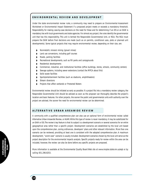## **ENVIRONMENTAL REVIEW AND DEVELOPMENT**

Under the state environmental review rules, a community may need to prepare an Environmental Assessment Worksheet or Environmental Impact Statement if a proposed project meets or exceeds a mandatory threshold. Responsibility for making case-by-case decisions on the need for these and for determining if an EIS or an EAW is mandatory lies with local governments and state agencies. For almost any project, the rules identify the governmental unit that has this responsibility. This unit is termed the Responsible Governmental Unit, or RGU. The RGU must prepare the EAW before final decisions are made (such as on permits, conditional uses, plats or planned unit developments). Some typical projects that may require environmental review, depending on their size, are:

- ◗ Nonmetallic mineral mining (gravel mines)
- Land use conversions, including golf courses
- ◗ Roads, parking facilities
- Recreational developments, such as RV parks and campgrounds
- ◗ Residential developments
- ◗ Commercial, industrial, and institutional facilities (office buildings, stores, schools, community centers)
- ◗ Sewage systems, including sewer extensions (contact the MPCA about this)
- ◗ Solid waste facilities
- ◗ Sports/entertainment facilities (such as stadiums, amphitheaters)
- ◗ Stream diversions
- ◗ Projects that affect wetlands or Protected Waters

Environmental review should be initiated as early as possible. If a project fits into a mandatory review category, the Responsible Governmental Unit should be advised as soon as the proposer can thoroughly describe the project's location and basic features. For other projects, the sooner the public and governmental units with authority over the project are advised, the sooner the need for environmental review can be determined.

#### **ALTERNATIVE URBAN AREAWIDE REVIEW**

A community with a qualified comprehensive plan can also use an optional form of environmental review called Alternative Urban Areawide Review, or AUAR. While this type of review is never mandatory, it may be substituted for an EAW or EIS. The review's key feature is that its subject is a development scenario or several scenarios for an entire geographical area rather than a specific project. Development scenarios are established by the local unit based upon the comprehensive plan, zoning ordinances, developers' plans and other relevant information. More than one scenario can be reviewed, providing at least one is consistent with the adopted comprehensive plan. A maximum development, "worst case" scenario is usually included. Development scenarios chosen by the local unit serve as the project description for the environmental impacts analysis. Specific projects ready for review within the area can be included, however, the review can also be done before any specific projects are proposed.

More information is available at the Environmental Quality Board Web site at www.mnplan.state.mn.us/eqb or by calling 651.296.8253.

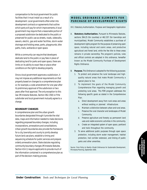compensation to the local government for public facilities that it must install as a result of a development. Local governments often enter into development contracts or agreements that outline which party will pay for which improvements. A local government may require that a reasonable portion of a proposed subdivision be dedicated to the public or preserved for public use as streets, roads, sidewalks, sewers, electric, gas and water facilities, storm water drainage and holding areas, parks, playgrounds, bike paths, trails, wetlands or open space.

While a community can require that developers dedicate land to the public or pay fees in place of dedicating land for parks and open space, there are limits on its ability to exact fees or place other conditions on the right to develop property.

Once a local government approves a subdivision, it may not impose any additional requirements on that property based on changes to a comprehensive plan or, for example, a code amendment for one year after its preliminary approval of the subdivision or two years after final approval. The only exception to this law (Minnesota Statutes, Section 462.358) is if the subdivider and local government mutually agree to a change.

## **BOUNDARY CHANGES**

A comprehensive plan and the urban growth boundaries designated through it provide the vital data, maps and information needed to make decisions regarding proposed boundary changes, including incorporations, annexations and consolidations. Urban growth boundaries also provide the framework for a city, township and county to jointly develop future land use plans, establish a timing and sequencing schedule for public services and prepare orderly annexation plans. State statutes regulating community boundary changes (Minnesota Statutes, Section 414.1) require applicants to provide much of the information contained in a comprehensive plan as part of the decision-making process.

# **MODEL ORDINANCE ELEMENTS FOR PURCHASE OF DEVELOPMENT RIGHTS**

XX.1 Statutory Authorization, Purpose and Geographic Application

- A. **Statutory Authorization.** Pursuant to Minnesota Statutes, sections 394.25 (for counties) or 462.357 (for townships and municipalities), Model Community establishes a purchase of development rights program for the purpose of preserving open space, including natural and scenic areas, and productive agricultural and forest land, while the fee title to these areas remains in private ownership. The program's policies, rules and official controls are adopted in this ordinance, hereafter known as the Model Community Purchase of Development Rights Ordinance.
- B. **Purpose.** This Ordinance is adopted for the following purposes:
	- 1. To protect and preserve the rural landscape and highquality natural areas that make Model Community a special place to live.
	- 2. To implement the goals of the Model Community Comprehensive Plan regarding managing growth and protecting rural areas. This PDR program addresses the following specific goals as stated in the Comprehensive Plan.
		- a. Direct development away from rural areas and areas without existing or planned infrastructure.
		- b. Maintain a distinction between urban and rural areas.
		- c. Preserve the rural character and landscapes of Model Community.
		- d. Preserve agriculture and forestry as permanent land uses and viable economic activities in the community.
		- e. Create an integrated system of open space, parkland and trails throughout the community.
	- 3. To serve additional public purposes through open space protection, including storm water management, habitat protection, trail corridor extension, and linking of public parks and other amenities.

Source: From Policy to Reality: Model Ordinances for Sustainable Development, Minnesota Planning, September 2000.

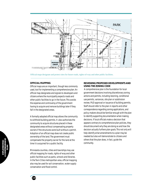

Official maps designate and protect sites for future roads, rights-of-way and other public facilities.

#### **OFFICIAL MAPPING**

Official maps are an important, though less commonly used, tool for implementing a comprehensive plan. An official map designates and signals to developers and citizens where the municipality expects roads and other public facilities to go in the future. This avoids the expense and controversy of the government having to acquire and remove buildings later if they fall in the designated areas.

A formally adopted official map allows the community to withhold building permits. It also authorizes the community to acquire structures placed in these designated areas without compensating property owners if the structures were built without a permit. Adoption of an official map does not create public ownership of the land. The government must compensate the property owner for the land at the time it is acquired for a public facility.

Minnesota counties, cities and townships may use official mapping for roads, rights-of-way and other public facilities such as parks, schools and libraries. In the Twin Cities metropolitan area, official mapping also may be used for soil conservation, water supply conservation and flood control.

#### **REVIEWING PROPOSED DEVELOPMENTS AND USING THE ZONING CODE**

 A comprehensive plan is the foundation for local government decisions involving discretionary zoning actions and permits, including rezoning, conditional use permits, variances, site plan or subdivision review, PUD approval or issuance of building permits. Staff should refer to the plan in reports and other correspondence regarding zoning applications, and policy-makers should be familiar enough with the plan to identify supporting documentation when making decisions. If local officials make a decision that appears contrary to comprehensive plan policies, they should document why they are doing so and how the decision actually furthers plan goals. This not only will help identify what amendments to a plan may be needed but also will demonstrate to citizens and others that the plan does, in fact, guide the community.

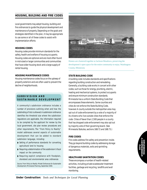# **HOUSING, BUILDING AND FIRE CODES**

Local governments may adopt housing, building and fire ordinances to guide the physical development and maintenance of property. Depending on the goals and strategies identified in the plan, it may be appropriate to use some or all of these codes to assist with implementation efforts:

## **HOUSING CODES**

Housing codes provide minimum standards for the safety, health and welfare of housing occupants. Housing codes are optional and are most often found in mid-sized or larger communities and communities that have older housing stock and a large supply of rental housing.

#### **HOUSING MAINTENANCE CODES**

Housing maintenance codes focus on the upkeep of property exteriors and are often used to prevent the decline of neighborhoods.

# **SUBDIVISION AND SUSTAINABLE DEVELOPMENT**

A community's subdivision ordinance includes a number of provisions outlining when and how the subdividing of lots is allowed. A subdivision ordinance identifies the threshold size where the subdivision regulations are applicable, the information required to be compiled by the applicant for review by the local government, site plan review procedures and other requirements. The "From Policy to Reality" model addresses several aspects of sustainable development that can be added to standard subdivision language, including:

- ◗ Setting of performance standards for converting agricultural land to housing
- ◗ Requiring a determination of the subdivision's fiscal impact on the community
- ◗ Requiring explicit compliance with floodplain, shoreland and environmental area ordinances

Source: From Policy to Reality: Model Ordinances for Sustainable Development, Minnesota Planning, September 2000.



Homes are clustered together at Jackson Meadows, preserving the development's open space for the entire community to enjoy. Washington County, Minnesota

## **STATE BUILDING CODE**

A building code includes standards and specifications regarding building construction and remodeling. Generally, a building code works in concert with other codes, such as those for energy, plumbing, electric, heating and mechanical systems, to protect occupants and ensure minimum construction standards. Minnesota has a uniform State Building Code that encompasses these elements. Some counties and cities do not enforce the State Building Code, however. A county outside the metropolitan area may opt out of code enforcement by a vote of a majority of its citizens who live outside cities that enforce the code. Cities of fewer than 2,500 people in a county that has dropped code enforcement may also opt out by majority vote of their governing board. (See Minnesota Statutes, sections 16B.72 and 16B.73.)

#### **FIRE CODES**

Fire codes address fire safety and prevention inside. They go beyond building codes by addressing storage of dangerous materials, exits and sprinkling requirements.

## **HEALTH AND SANITATION CODES**

These encompass a number of health-related activities, including private wastewater treatment facilities, garbage and recycling, landfills and well monitoring.

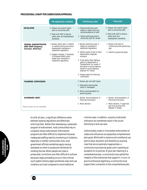#### **PROCEDURAL CHART FOR SUBDIVISION APPROVAL**

|                                                                                   | <b>Pre-application meeting</b>                                                                                                                                                                                                                      | *Preliminary plat                                                                                                                                                                                                                                                                                                                                                                                      | *Final plat                                                                                                                            |
|-----------------------------------------------------------------------------------|-----------------------------------------------------------------------------------------------------------------------------------------------------------------------------------------------------------------------------------------------------|--------------------------------------------------------------------------------------------------------------------------------------------------------------------------------------------------------------------------------------------------------------------------------------------------------------------------------------------------------------------------------------------------------|----------------------------------------------------------------------------------------------------------------------------------------|
| <b>DEVELOPER</b>                                                                  | 1. Prepare and submit sketch<br>plan to community staff.<br>2. Meet with staff to discuss<br>sketch plan and development<br>standards.                                                                                                              | 1. Prepare preliminary plat<br>based on sketch plan and<br>recommendations of staff.<br>2. Submit preliminary plat to<br>community staff for review.                                                                                                                                                                                                                                                   | 1. Prepare and submit sketch<br>plan to community staff.<br>2. Meet with staff to discuss<br>sketch plan and<br>development standards. |
| <b>ZONING ADMINISTRATOR</b><br><b>AND STAFF (Engineer,</b><br>Surveyor, Attorney) | 1. Review sketch plan in relation<br>to existing zoning and various<br>development standards in<br>subdivision regulations.<br>2. Suggest changes, if necessary,<br>to proposed sketch plans<br>based upon standards in<br>subdivision regulations. | 1. Review preliminary plat in<br>relation to standards in<br>subdivision regulations.<br>2. Submit copies of plat to other<br>departments (engineer,<br>surveyor).<br>3. If plat abuts state highway,<br>submit to Department of<br>Transportation for review. If<br>plat abuts a county highway,<br>submit to county highway<br>engineer for review.<br>4. Prepare report for Planning<br>Commission. | 1. Review final plat for<br>conformance with preliminary<br>plat.<br>2. Submit to governing body.                                      |
| <b>PLANNING COMMISSION</b><br><b>GOVERNING BODY</b>                               |                                                                                                                                                                                                                                                     | 1. Review plat and staff report.<br>2. Hold public hearing after<br>notice in newspaper.<br>3. Make recommendation to<br>governing body.<br>1. Review recommendation of                                                                                                                                                                                                                                | 1. Review recommendation of                                                                                                            |
| *These procedures may be consolidated.                                            |                                                                                                                                                                                                                                                     | Planning Commission.<br>2. Make decision.                                                                                                                                                                                                                                                                                                                                                              | Planning Commission.<br>2. Make decision. If approved,<br>plat must be filed with<br>Register of Deeds.                                |

As with all laws, a significant difference exists between passing regulations and effectively enforcing them. Rather than developing a systematic program of enforcement, most communities rely on complaint-driven enforcement. Enforcement programs are often difficult to implement because inadequate staffing restricts monitoring of violations, especially in smaller communities. Also, local government officials sometimes apply varying standards on when to prosecute individuals for violating the law. When people are cited or prosecuted, convictions are often difficult to achieve because a legal proceeding occurs in the criminal court system where judges sometimes view land use violations as trivial compared to more traditional

criminal cases. In addition, a poorly constructed ordinance can sometimes result in the courts dismissing a land use case.

Unfortunately, weak or inconsistent enforcement of codes and ordinances can jeopardize comprehensive plan goals. While both a variance and conditional use permit allow discretion and flexibility by waiving rules that are occasionally inappropriate, a community must exercise great care in granting an exception to its policies. To give real meaning to a comprehensive plan, a community must uphold the integrity of the ordinances that support it. In turn, to give its ordinances legitimacy, a community must support their connection to the comprehensive plan.

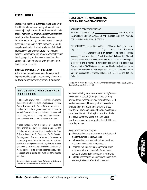# **FISCAL TOOLS**

Local governments are authorized to use a variety of fiscal tools to finance community infrastructure or make major capital expenditures. These tools include capital improvement programs, assessment practices, development and user fees and tax increment financing. Occasionally, a community uses its general funds for development-related improvements, and it may choose to subsidize the installation of utilities to promote development that furthers its goals. For example, a community may promote affordable senior housing by paying for the infrastructure it requires using general funding sources or by pledging future tax increment revenues.

#### **CAPITAL IMPROVEMENT PROGRAM**

Aside from a comprehensive plan, the single most important tool for shaping a community's future may be its capital improvements program. This program

# **INDUSTRIAL PERFORMANCE STANDARDS**

In Minnesota, many kinds of industrial performance standards are set by the state, usually under Pollution Control Agency rule. Some PCA standards are minimums that local governments can choose to exceed. Other standards include both minimums and maximums, and a community cannot set standards that are either more or less stringent than these.

Model language for a number of industrial performance standards, including a standard for pollution prevention practices, is available in From Policy to Realty: Model Ordinances for Sustainable Development. For any standard, however, a community must identify the specific options available to local governments to regulate the activity or exceed state-mandated thresholds. The intent of model language is to provide reasonable regulatory language and a logical structure for performance standards.

Source: From Policy to Reality: Model Ordinances for Sustainable Development, Minnesota Planning, September 2000.

# **MODEL GROWTH MANAGEMENT AND ORDERLY ANNEXATION AGREEMENT**

| AGREEMENT BETWEEN THE CITY OF                                   |            |
|-----------------------------------------------------------------|------------|
|                                                                 | FOR GROWTH |
| MANAGEMENT, ORDERLY ANNEXATION AND THE EXERCISE OF JOINT POWERS |            |
| FOR PLANNING AND LAND LISE CONTROL                              |            |
|                                                                 |            |

THIS AGREEMENT is made this day of 200<sub>,</sub> ("Effective Date") between the city of ("City") and the Township ("Township") and is an agreement relating to growth management and constitutes a "Joint Resolution" between the City and Township authorized by Minnesota Statutes, Section 414.325 providing for a procedure and a framework for orderly annexation of a part of the Township to the City. This Agreement also provides for the joint exercise by the City and Township of their respective planning and land use control authority pursuant to Minnesota Statutes, sections 471.59 and 414.325 (Subd. 5).

Source: From Policy to Reality: Model Ordinances for Sustainable Development, Minnesota Planning, September 2000.

outlines the timing and nature of a community's major investments in schools (through a school district), transportation, water, police and fire protection, solid waste management, libraries, park and recreation facilities and other public amenities. All of these investments have ongoing operation and maintenance costs, in addition to initial capital costs. The criteria that a local government uses in making these investments may significantly affect the total lifetime costs they impose.

A capital improvement program:

- Allows residents and businesses to anticipate and plan for future tax and levy needs
- Helps residents and local officials set priorities and stage major capital improvements
- Enables a community's fiscal agents to provide accurate advice on planning for future needs, particularly for large infrastructure investments
- Helps businesses plan for major investments, such as roads, that could affect their operations

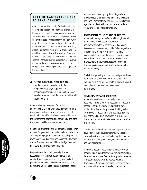# **CORE INFRASTRUCTURE KEY TO DEVELOPMENT**

Core utilities provide capacity for land development and include wastewater treatment plants, water treatment plants, water storage facilities, trunk sewer and water lines, storm water management systems and arterial roads. Projected growth for a community may fit within the capacity of the existing infrastructure or may require expansion of existing systems or construction of new ones. State law provides communities with a variety of tools for borrowing the money to finance core utilities. The essential financial issues will be the sources of revenue to pay for those improvements, such as connection charges, utility user fees, special assessments, property taxes and bonding.

● Provides local officials with a solid legal foundation, when consistent with the comprehensive plan, for approving or disapproving individual development proposals, based on whether or not they are compatible with an adopted plan

When evaluating the criteria for capital improvements, a community should determine if the investments will meet local economic and social needs; what net effect the investments will have on the environment, economy and community; and if the investments will be sustainable over time.

Capital improvement plans are generally designed for a five-to-10-year period and often include short-, midand long-term projects. A community should prioritize investments based on need and an identified funding source. The plans also should include objectives and policies to guide investment decisions.

Preparation of the plan is generally the joint responsibility of the local government's chief administrator, department heads, governing body, planning commission and citizen committees. The administrative organization used to prepare a capital improvement plan may vary depending on local preferences, the form of government and available personnel. Minnesota law requires that the planning agencies in cities that have comprehensive plans review the capital improvement plan.

#### **ASSESSMENT POLICIES AND PRACTICES**

Infrastructure may also be financed through special assessments, which pass on the costs of improvements to the benefited property owners. Assessments, however, may not be fully chargeable to the benefiting property. Minnesota law limits assessments to no more than the increase in market value of the property as a result of the service or improvement. In such cases, costs not recovered through special assessment would be borne by the entire community.

While this approach gives the community control over design and construction of the improvement, the community must be prepared to take legal action and spend time and money to recover unpaid assessments.

## **DEVELOPMENT AND USER FEES**

Minnesota law allows a community to make developers responsible for the cost of infrastructure needed to connect a new development to core utilities, including sanitary sewers, drinking water, storm sewers, streets, curbs and gutters, sidewalks, bike paths and parks. A developer, in turn, passes these costs on to the ultimate buyer in the sale price of a property.

Development-related costs that can be passed on to developers include development review and site construction inspection fees (including staff costs and overhead), building permit fees, wetland mitigation and park dedication fees.

Minnesota does not have enabling legislation that permits impact fees. Therefore, communities must use development and user fees cautiously and must relate the fees directly to costs associated with the development. A community should use great caution and work with an expert financial consultant and

**142**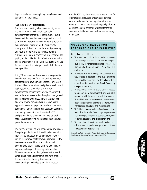legal counsel when contemplating using fees related to indirect off-site impacts.

#### **TAX INCREMENT FINANCING**

Tax increment financing allows a community to use the net increase in tax base of a particular development to finance the infrastructure or public investment that enables the development to occur. In a TIF district, the taxed value of property is frozen for general revenue purposes for the district's city, county, school district or other local entity assessing against the property. The tax revenue from the subsequent increase in property values is dedicated to paying off the public debt for infrastructure and other public investment in the TIF district. Once paid off, the full tax revenue stream is again available to the local taxing entities.

Using TIF for economic development offers potential benefits. Tax increment financing can be a powerful tool to facilitate development in areas or on parcels that would not otherwise attract private development capital, such as a brownfield site. The new development it generates can provide employment and tax base enhancement and may help spur general public improvement projects. Finally, tax increment financing offers a community an incentive-based approach to encourage private developers to meet a community's comprehensive plan goals and policies. A community can require that to receive the TIF designation, the development must employ local residents, provide living wage jobs or meet pollution prevention standards.

Tax increment financing also has potential downsides. One principal risk is that if the anticipated valuation increases do not occur, the community will have to pay off the incurred debt from general revenues. New tax revenues are withheld from various local governments, such as school districts, until debt for improvements is paid. These may end up costing Minnesotans more than they gain across the board. When school funding is compromised, for example, at the same time that housing development is encouraged, greater budget shortfalls may occur.

Also, the 2001 Legislature reduced property taxes for commercial and industrial properties and shifted more of the burden for funding schools from the property tax to the state. These changes significantly reduce the amount of money available for the tax increment subsidy or extend the time needed to pay off the debt.

# **MODEL ORDINANCE FOR ADEQUATE PUBLIC FACILITIES**

- XX.1. Purpose and Intent
- A. To ensure that public facilities needed to support new development meet or exceed the adopted level of service standards established by the Model Community Comprehensive Plan and this ordinance.
- B. To ensure that no rezonings are approved that would cause a reduction in the levels of service for any public facilities below the adopted level of service established in the Model Community Comprehensive Plan;
- C. To ensure that adequate public facilities needed to support new development are available concurrent with the impacts of such development;
- D. To establish uniform procedures for the review of rezoning applications subject to the concurrency management standards and requirements;
- E. To facilitate implementation of goals and policies set forth in the Model Community Comprehensive Plan relating to adequacy of public facilities, level of service standards and concurrency; and;
- F. To ensure that all applicable legal standards and criteria are properly incorporated in these procedures and requirements.

Source: From Policy to Reality: Model Ordinances for Sustainable Development, Minnesota Planning, September 2000.

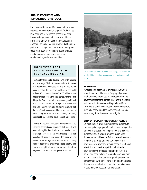# **PUBLIC FACILITIES AND INFRASTRUCTURE TOOLS**

Public acquisition of land for parks, natural areas, resource protection and other public facilities has long been one of the most successful tools for implementing a community plan. In addition to purchasing land on the open market, accepting donations of land or requiring land dedication as a part of approving a subdivision, a community has three other options for meeting public facilities needs: easements, eminent domain and condemnation, and shared facilities.

# **ROCHESTER AREA INITIATIVE LOOKS TO INCREASE HOUSING**

The Greater Minnesota Housing Fund, with funding from the Mayo Clinic, Rochester and the Rochester Area Foundation, developed the First Homes starter home initiative. This initiative will finance and build at least 875 "starter homes" in 15 cities in the Rochester area over a five-year period. Among other things, the First Homes initiative encourages efficient use of land and infrastructure to promote sustainable land use. The initiative also takes into account that the benefits of homeownership are also realized by local taxing entities such as schools, counties, municipalities, and local development authorities.

The First Homes initiative seeks to help communities establish standards and programs that support well planned neighborhood subdivision development, conservation of land and infrastructure, and cost reduction of single-family homes. The initiative also works to encourage development of efficiently planned residential areas that create healthy and cohesive neighborhoods that connect to other neighborhoods, services and public amenities.



Transportation facilities should be designed to meet the needs of bikers, inline skaters and pedestrians, as well as cars.

#### **EASEMENTS**

Purchasing an easement is an inexpensive way to protect land for public needs. The property owner retains ownership and use of the property, but the government gains the right to use it and to maintain facilities on it. If an easement is purchased for a storm water pond, however, and the owner wants to put a bike path around the pond, the parties would have to negotiate those additional rights.

#### **EMINENT DOMAIN AND CONDEMNATION**

Eminent domain gives communities the authority to condemn private property for public use as long as the landowner is reasonably compensated and a public purpose exists. To acquire property by eminent domain, communities must follow the requirements in Minnesota Statutes, Chapter 117. To begin the process, a local government must pass a resolution of intent. It must then file a petition with the district court stating the proposed public purpose. At this point, it is useful to have a comprehensive plan that makes it clear to the court what public purpose the condemnation will serve. If the court determines that the purpose is authorized, it appoints commissioners to determine the necessary compensation.

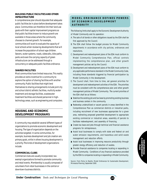## **BUILDING PUBLIC FACILITIES AND OTHER INFRASTRUCTURE**

A comprehensive plan should stipulate that adequate public facilities be in place before development takes place. Communities can therefore link their land use goals with their capital improvement programs so that public facilities known to induce growth are available in those areas where the community chooses to channel growth. For example, communities will want to evaluate the capacity of local schools when reviewing developments that will increase the population of school-age children. Sewers, water systems, roads, sidewalks, bike paths, parks and even the carrying capacity of green infrastructure can be addressed through a concurrency or adequate public facilities ordinance.

## **SHARED FACILITIES**

Most communities have limited resources. This reality provides an extra incentive for a community to explore the option of sharing facilities with another community. Public facilities that might lend themselves to sharing arrangements include joint city and school district athletic facilities, multicity water treatment and storage facilities, wastewater treatment facilities and shared personnel in hightechnology areas, such as engineering and computers.

# **HOUSING AND ECONOMIC DEVELOPMENT PROGRAMS**

A community may establish several different types of organizations to promote economic development and housing. The type of organization depends on the activities targeted. In some communities, for example, business development and job creation are primary goals, while in others housing development is a priority. The kinds of development organizations include:

#### **COMMERCIAL CLUBS**

Commercial clubs are usually incorporated, taxexempt organizations formed to promote community and retail events. Membership is usually composed of volunteers from retail businesses in the central or downtown business districts.

# **MODEL ORDINANCE DEFINES POWERS OF ECONOMIC DEVELOPMENT AUTHORITY**

The following limits shall apply to the Economic Development Authority of Model Community and its operation:

- A. The sale of all bonds or other obligations issued by the EDA shall be first approved by the Council.
- B. The EDA shall follow the budget process for Model Community departments in accordance with city policies, ordinances and resolutions.
- C. Development and redevelopment plans of the EDA must conform to Model Community Comprehensive Plan, official controls implementing the comprehensive plan, and other growth management policies set by the Council.
- D. Development and redevelopment plans of the EDA must conform to any applicable performance standard in the Model Community Code, including those standards triggered by financial participation by Model Community in the development.
- E. The Council shall, from time to time, set general priorities for development and redevelopment activities of the EDA. The priorities must be consistent with the comprehensive plan and other growth management policies of Model Community. The current priorities of the EDA shall be as follows:
- ◗ Stabilize the existing job and tax base by promoting existing business and business centers in the community.
- ◗ Redevelop underutilized or vacant parcels in areas identified in the Comprehensive Plan as commercial districts or industrial parks, including recruitment of new businesses appropriate for a given area, redirecting proposed greenfield development to appropriate existing commercial or industrial areas, assembly of parcels to facilitate redevelopment, and assembly of financing.
- ◗ Create tax base and jobs through technical and financial assistance programs for entrepreneurs.
- ▶ Assist local businesses to comply with state and federal air and water emission requirements, and hazardous and solid waste management and reduction efforts.
- ◗ Assist local businesses in improving resource productivity through greater energy efficiency and reduction of wastes.
- ◗ Provide financial assistance to companies locating or expanding in Model Community. Conditions of any financial assistance provided by the EDA to companies locating or expanding in Model Community.

Source: From Policy to Reality: Model Ordinances for Sustainable Development, Minnesota Planning, September 2000.

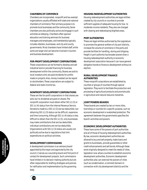#### **CHAMBERS OF COMMERCE**

Chambers are incorporated, nonprofit and tax-exempt organizations usually affiliated with state and national chambers of commerce. Their primary purpose is to promote local businesses and the community. Some chambers are also politically active and engage in such activities as lobbying. Chambers often sponsor education and training seminars for business managers and employees, and membership typically includes retailers, businesses, and city and county governments. Most chambers have limited staff, while some are larger and can become involved in tourism and business development.

#### **FOR-PROFIT DEVELOPMENT CORPORATIONS**

These corporations can be formed to develop and sell industrial land or provide financing for business development within the community. Shares are sold to local investors who are paid dividends for profits made on projects. Also, money invested can be repaid to stockholders. These corporations are subject to federal and state income tax.

#### **NONPROFIT DEVELOPMENT CORPORATIONS**

These are like for-profit corporations in that shares are sold, but no dividends are paid on shares. The nonprofit corporation must obtain either 501 (c) (3) or 501 (c) (4) status from the Internal Revenue Service. Donations made to a 501 (c) (3) are tax deductible, but obtaining 501 (c) (3) status can be difficult, expensive and time-consuming. Although 501 (c) (4) status is less difficult to obtain than the 501 (c) (3), only businesses may make contributions that are tax deductible; individual contributions are not tax deductible. Organizations with 501 (c) (3) status are usually not politically active due to regulations that limit expenditures on political activities.

#### **DEVELOPMENT COMMISSIONS**

A development commission is an advisory board appointed by the mayor and approved by the city council; it serves as a sounding board and first point of contact for development projects. Such commissions have limited or no decision-making authority but are often responsible for drafting strategies and policies for ratification and implementation by the governing body.

#### **HOUSING REDEVELOPMENT AUTHORITIES**

Housing redevelopment authorities are legal entities created by city councils or counties to provide sufficient supplies of adequate housing for low- to moderate-income residents. They also are charged with clearing and redeveloping blighted areas.

#### **PORT AUTHORITIES**

These are legal entities authorized by the Legislature to promote the general welfare of city port districts, increase the volume of commerce in the ports and provide facilities for handling, storing and shipping freight. A port authority has broader powers than a housing redevelopment authority or economic development association because it can issue general obligation bonds to finance a development without an election.

#### **RURAL DEVELOPMENT FINANCE AUTHORITIES**

These nonprofit corporations are established by counties or groups of counties through special legislation. They work to facilitate the production and processing of agricultural products and promote jobs in agriculture and natural resource industries.

#### **JOINT POWERS BOARDS**

These boards are created by two or more cities, townships or counties for a specific purpose, such as economic development or watershed protection. The agreement between the governments specifies the board's activities and powers.

#### **ECONOMIC DEVELOPMENT AUTHORITIES**

These have some of the powers of port authorities and all of those of housing redevelopment authorities. By law, economic development authorities are allowed to buy and sell property, make loans and grants to businesses, provide guarantees or other credit enhancements and sell bonds. Although these were originally designed to meet the needs of cities, legislation now allows counties to establish economic development authorities. Economic development authorities also can exercise the powers of cities (such as condemnation, or eminent domain) in connection with city development districts and the

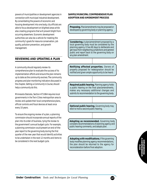powers of municipalities or development agencies in connection with municipal industrial development. By consolidating the powers of economic and housing development into one body, city officials are able to focus development on blighted areas while also creating programs that will prevent blight from occurring elsewhere. Economic development authorities can also be a vehicle for meeting the community's goals for resource conservation, job quality, pollution prevention, and growth management.

# **REVIEWING AND UPDATING A PLAN**

A community should regularly review its comprehensive plan to evaluate the success of its implementation efforts and ensure the plan remains up to date as the community evolves. The community progress and plan monitoring indicators discussed in the chapter, Setting a Community's Course, should help a community do this.

Minnesota Statutes, Section 473.864 requires local governments in the Twin Cities metropolitan area to review and update their local comprehensive plans, official controls and fiscal devices at least once every 10 years.

To ensure the ongoing review of a plan, a planning commission should incorporate annual reports of the plan into its order of business, tying the review to the government's annual budget cycle. For example, a planning commission could present an end-of-theyear report to the governing body during the first quarter of the new year that would identify activities to be undertaken in the next 12 months and items to be considered in the next budget cycle.

## **SAMPLE MUNICIPAL COMPREHENSIVE PLAN ADOPTION AND AMENDMENT PROCESS**

**Proposing.** Plan/amendments may be proposed or developed by governing body or planning agency.

**Considering.** A plan/amendment proposed by a local governing body must be considered by the planning agency. It has 60 days to deliberate and get input from neighboring jurisdictions and general public and report back to the governing body on any plan amendment.

**Notifying affected properties.** Owners of property proposed for redesignation should be notified and given ample opportunity to be heard.

**Required public hearing.** Planning agency holds a public hearing on the final plan/amendments, makes any necessary additional changes and submits its recommendation to the governing body.

**Optional public hearing.** Governing body may elect to hold a second public hearing.

**Adopting as recommended.** Governing body considers recommendations of planning agency and public hearing comments, and adopts plan.

**Adopting with modifications.** If the governing body modifies planning agency recommendations, the plan should be returned to the agency for reconsideration before final adoption.